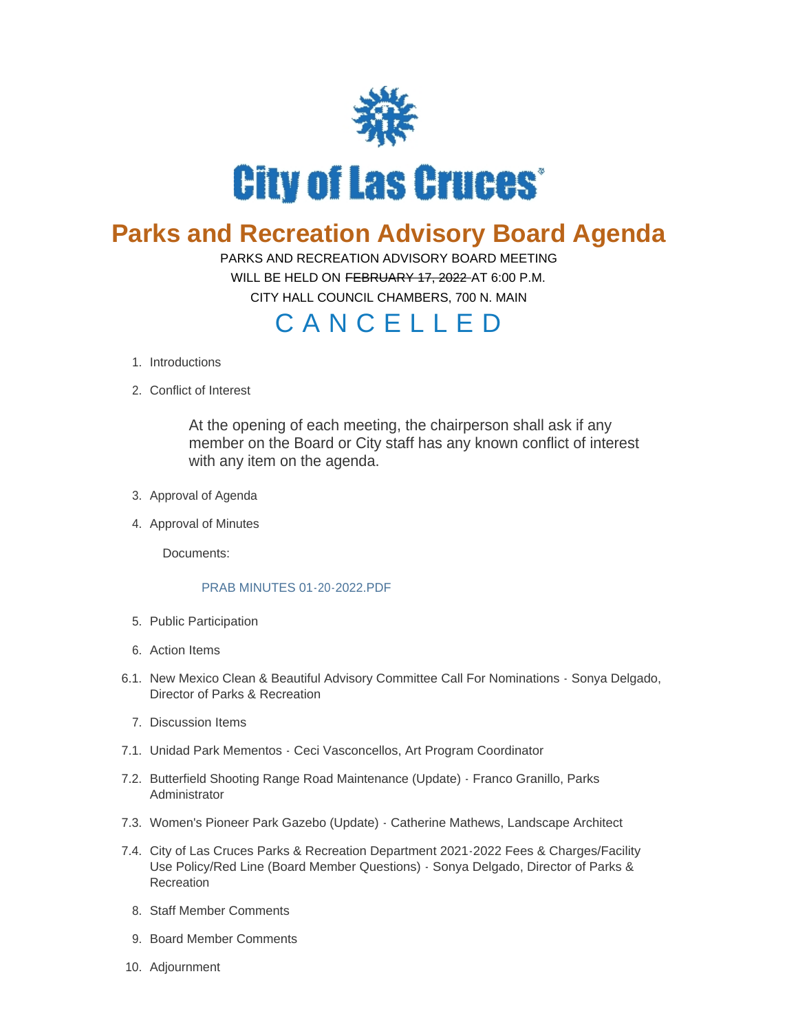

## **Parks and Recreation Advisory Board Agenda**

PARKS AND RECREATION ADVISORY BOARD MEETING WILL BE HELD ON FEBRUARY 17, 2022 AT 6:00 P.M.

CITY HALL COUNCIL CHAMBERS, 700 N. MAIN

## C A N C E L L E D

- 1. Introductions
- 2. Conflict of Interest

At the opening of each meeting, the chairperson shall ask if any member on the Board or City staff has any known conflict of interest with any item on the agenda.

- 3. Approval of Agenda
- 4. Approval of Minutes

Documents:

## [PRAB MINUTES 01-20-2022.PDF](https://www.las-cruces.org/AgendaCenter/ViewFile/Item/8538?fileID=14345)

- 5. Public Participation
- Action Items 6.
- 6.1. New Mexico Clean & Beautiful Advisory Committee Call For Nominations Sonya Delgado, Director of Parks & Recreation
	- 7. Discussion Items
- 7.1. Unidad Park Mementos Ceci Vasconcellos, Art Program Coordinator
- 7.2. Butterfield Shooting Range Road Maintenance (Update) Franco Granillo, Parks Administrator
- 7.3. Women's Pioneer Park Gazebo (Update) Catherine Mathews, Landscape Architect
- 7.4. City of Las Cruces Parks & Recreation Department 2021-2022 Fees & Charges/Facility Use Policy/Red Line (Board Member Questions) - Sonya Delgado, Director of Parks & Recreation
	- 8. Staff Member Comments
	- 9. Board Member Comments
- 10. Adjournment